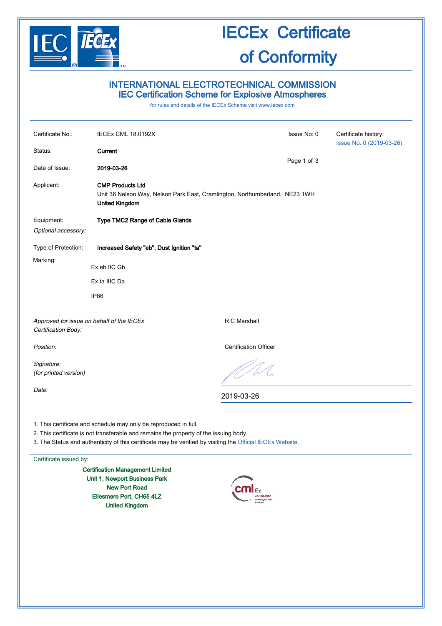

# IECEx Certificate of Conformity

## INTERNATIONAL ELECTROTECHNICAL COMMISSION IEC Certification Scheme for Explosive Atmospheres

for rules and details of the IECEx Scheme visit [www.iecex.com](http://www.iecex.com/)

| Certificate No.:                    | <b>IECEx CML 18.0192X</b>                                                                                                                                                                                                                                               |                                       | Issue No: 0 | Certificate history:     |
|-------------------------------------|-------------------------------------------------------------------------------------------------------------------------------------------------------------------------------------------------------------------------------------------------------------------------|---------------------------------------|-------------|--------------------------|
| Status:                             | Current                                                                                                                                                                                                                                                                 |                                       |             | Issue No. 0 (2019-03-26) |
| Date of Issue:<br>2019-03-26        |                                                                                                                                                                                                                                                                         |                                       | Page 1 of 3 |                          |
| Applicant:                          | <b>CMP Products Ltd</b><br>Unit 36 Nelson Way, Nelson Park East, Cramlington, Northumberland, NE23 1WH<br><b>United Kingdom</b>                                                                                                                                         |                                       |             |                          |
| Equipment:<br>Optional accessory:   | <b>Type TMC2 Range of Cable Glands</b>                                                                                                                                                                                                                                  |                                       |             |                          |
| Type of Protection:                 | Increased Safety "eb", Dust Ignition "ta"                                                                                                                                                                                                                               |                                       |             |                          |
| Marking:                            | Ex eb IIC Gb                                                                                                                                                                                                                                                            |                                       |             |                          |
|                                     | Ex ta IIIC Da                                                                                                                                                                                                                                                           |                                       |             |                          |
|                                     | IP <sub>66</sub>                                                                                                                                                                                                                                                        |                                       |             |                          |
| Certification Body:                 | Approved for issue on behalf of the IECEx                                                                                                                                                                                                                               | R C Marshall                          |             |                          |
| Position:                           |                                                                                                                                                                                                                                                                         | <b>Certification Officer</b>          |             |                          |
| Signature:<br>(for printed version) |                                                                                                                                                                                                                                                                         |                                       |             |                          |
| Date:                               |                                                                                                                                                                                                                                                                         | 2019-03-26                            |             |                          |
|                                     | 1. This certificate and schedule may only be reproduced in full.<br>2. This certificate is not transferable and remains the property of the issuing body.<br>3. The Status and authenticity of this certificate may be verified by visiting the Official IECEx Website. |                                       |             |                          |
| Certificate issued by:              |                                                                                                                                                                                                                                                                         |                                       |             |                          |
|                                     | <b>Certification Management Limited</b><br>Unit 1, Newport Business Park<br><b>New Port Road</b><br>Ellesmere Port, CH65 4LZ                                                                                                                                            | certification<br>management<br>imited |             |                          |

United Kingdom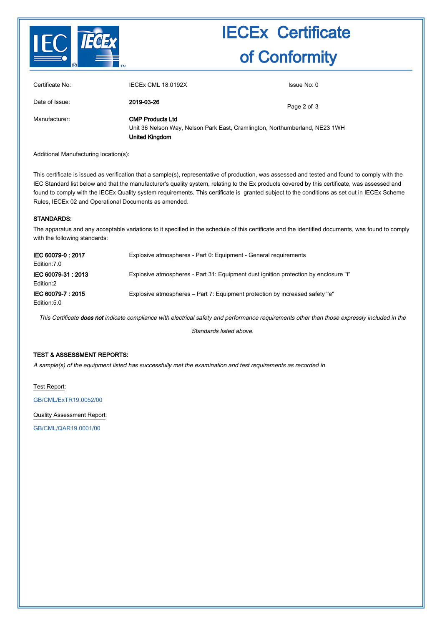

# IECEx Certificate of Conformity

| Certificate No: | <b>IECEX CML 18.0192X</b>                                                                                                       | Issue No: 0 |
|-----------------|---------------------------------------------------------------------------------------------------------------------------------|-------------|
| Date of Issue:  | 2019-03-26                                                                                                                      | Page 2 of 3 |
| Manufacturer:   | <b>CMP Products Ltd</b><br>Unit 36 Nelson Way, Nelson Park East, Cramlington, Northumberland, NE23 1WH<br><b>United Kingdom</b> |             |

Additional Manufacturing location(s):

This certificate is issued as verification that a sample(s), representative of production, was assessed and tested and found to comply with the IEC Standard list below and that the manufacturer's quality system, relating to the Ex products covered by this certificate, was assessed and found to comply with the IECEx Quality system requirements. This certificate is granted subject to the conditions as set out in IECEx Scheme Rules, IECEx 02 and Operational Documents as amended.

#### STANDARDS:

The apparatus and any acceptable variations to it specified in the schedule of this certificate and the identified documents, was found to comply with the following standards:

| IEC 60079-0: 2017<br>Edition: 7.0 | Explosive atmospheres - Part 0: Equipment - General requirements                     |
|-----------------------------------|--------------------------------------------------------------------------------------|
| IEC 60079-31: 2013<br>Edition:2   | Explosive atmospheres - Part 31: Equipment dust ignition protection by enclosure "t" |
| IEC 60079-7: 2015<br>Edition: 5.0 | Explosive atmospheres – Part 7: Equipment protection by increased safety "e"         |

This Certificate does not indicate compliance with electrical safety and performance requirements other than those expressly included in the

Standards listed above.

#### TEST & ASSESSMENT REPORTS:

A sample(s) of the equipment listed has successfully met the examination and test requirements as recorded in

Test Report:

[GB/CML/ExTR19.0052/00](http://iecex.iec.ch/extr/GB.CML.ExTR19.0052.00)

Quality Assessment Report:

[GB/CML/QAR19.0001/00](http://iecex.iec.ch/qar/GB.CML.QAR19.0001.00)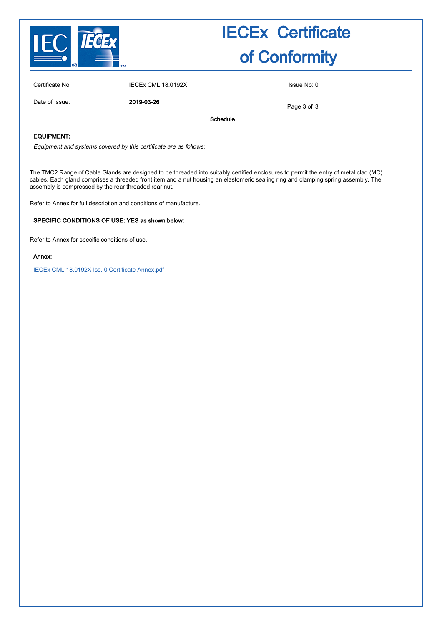

# IECEx Certificate of Conformity

Certificate No: IECEx CML 18.0192X Issue No: 0

Date of Issue: 2019-03-26

Page 3 of 3

Schedule

#### EQUIPMENT:

Equipment and systems covered by this certificate are as follows:

The TMC2 Range of Cable Glands are designed to be threaded into suitably certified enclosures to permit the entry of metal clad (MC) cables. Each gland comprises a threaded front item and a nut housing an elastomeric sealing ring and clamping spring assembly. The assembly is compressed by the rear threaded rear nut.

Refer to Annex for full description and conditions of manufacture.

#### SPECIFIC CONDITIONS OF USE: YES as shown below:

Refer to Annex for specific conditions of use.

#### Annex:

[IECEx CML 18.0192X Iss. 0 Certificate Annex.pdf](http://iecex.iec.ch/cert/IECExCML18.01920/$File/IECEx CML 18.0192X Iss. 0 Certificate Annex.pdf)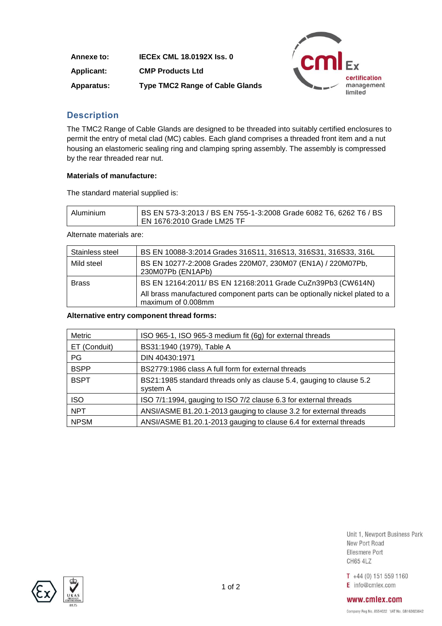**Annexe to: IECEx CML 18.0192X Iss. 0 Applicant: CMP Products Ltd Apparatus: Type TMC2 Range of Cable Glands**



# **Description**

The TMC2 Range of Cable Glands are designed to be threaded into suitably certified enclosures to permit the entry of metal clad (MC) cables. Each gland comprises a threaded front item and a nut housing an elastomeric sealing ring and clamping spring assembly. The assembly is compressed by the rear threaded rear nut.

### **Materials of manufacture:**

The standard material supplied is:

| BS EN 573-3:2013 / BS EN 755-1-3:2008 Grade 6082 T6, 6262 T6 / BS<br>Aluminium<br>  EN 1676:2010 Grade LM25 TF |  |
|----------------------------------------------------------------------------------------------------------------|--|
|----------------------------------------------------------------------------------------------------------------|--|

Alternate materials are:

| Stainless steel | BS EN 10088-3:2014 Grades 316S11, 316S13, 316S31, 316S33, 316L                                    |
|-----------------|---------------------------------------------------------------------------------------------------|
| Mild steel      | BS EN 10277-2:2008 Grades 220M07, 230M07 (EN1A) / 220M07Pb,<br>230M07Pb (EN1APb)                  |
| <b>Brass</b>    | BS EN 12164:2011/ BS EN 12168:2011 Grade CuZn39Pb3 (CW614N)                                       |
|                 | All brass manufactured component parts can be optionally nickel plated to a<br>maximum of 0.008mm |

### **Alternative entry component thread forms:**

| Metric       | ISO 965-1, ISO 965-3 medium fit (6g) for external threads                        |
|--------------|----------------------------------------------------------------------------------|
| ET (Conduit) | BS31:1940 (1979), Table A                                                        |
| <b>PG</b>    | DIN 40430:1971                                                                   |
| <b>BSPP</b>  | BS2779:1986 class A full form for external threads                               |
| <b>BSPT</b>  | BS21:1985 standard threads only as clause 5.4, gauging to clause 5.2<br>system A |
| <b>ISO</b>   | ISO 7/1:1994, gauging to ISO 7/2 clause 6.3 for external threads                 |
| <b>NPT</b>   | ANSI/ASME B1.20.1-2013 gauging to clause 3.2 for external threads                |
| <b>NPSM</b>  | ANSI/ASME B1.20.1-2013 gauging to clause 6.4 for external threads                |

Unit 1, Newport Business Park New Port Road Ellesmere Port **CH65 4LZ** 

 $T +44(0) 151 559 1160$ E info@cmlex.com